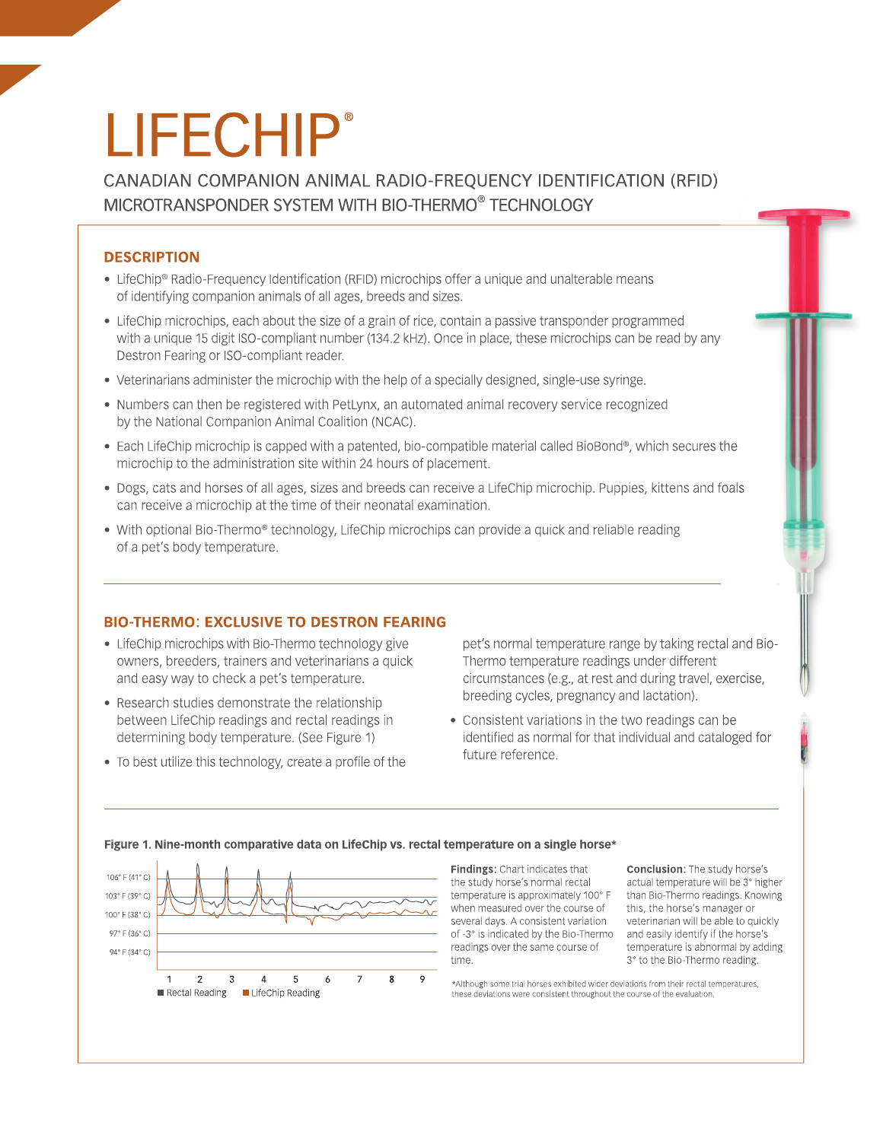# **LIFECHIP®**

CANADIAN COMPANION ANIMAL RADIO-FREQUENCY IDENTIFICATION (RFID) MICROTRANSPONDER SYSTEM WITH BIO-THERMO<sup>®</sup> TECHNOLOGY

## **DESCRIPTION**

- LifeChip® Radio-Frequency Identification (RFID) microchips offer a unique and unalterable means of identifying companion animals of all ages, breeds and sizes.
- LifeChip microchips, each about the size of a grain of rice, contain a passive transponder programmed with a unique 15 digit ISO-compliant number (134.2 kHz). Once in place, these microchips can be read by any Destron Fearing or ISO-compliant reader.
- Veterinarians administer the microchip with the help of a specially designed, single-use syringe.
- Numbers can then be registered with PetLynx, an automated animal recovery service recognized by the National Companion Animal Coalition (NCAC).
- Each LifeChip microchip is capped with a patented, bio-compatible material called BioBond®, which secures the microchip to the administration site within 24 hours of placement.
- Dogs, cats and horses of all ages, sizes and breeds can receive a LifeChip microchip. Puppies, kittens and foals can receive a microchip at the time of their neonatal examination.
- With optional Bio-Thermo® technology, LifeChip microchips can provide a quick and reliable reading of a pet's body temperature.

### **BIO-THERMO: EXCLUSIVE TO DESTRON FEARING**

- LifeChip microchips with Bio-Thermo technology give owners, breeders, trainers and veterinarians a quick and easy way to check a pet's temperature.
- Research studies demonstrate the relationship between LifeChip readings and rectal readings in determining body temperature. (See Figure 1)
- To best utilize this technology, create a profile of the

pet's normal temperature range by taking rectal and Bio-Thermo temperature readings under different circumstances (e.g., at rest and during travel, exercise, breeding cycles, pregnancy and lactation).

• Consistent variations in the two readings can be identified as normal for that individual and cataloged for future reference.



#### Figure 1. Nine-month comparative data on LifeChip vs. rectal temperature on a single horse\*

Findings: Chart indicates that the study horse's normal rectal temperature is approximately 100° F when measured over the course of several days. A consistent variation of -3° is indicated by the Bio-Thermo readings over the same course of time

**Conclusion:** The study horse's actual temperature will be 3° higher than Bio-Thermo readings. Knowing this, the horse's manager or veterinarian will be able to quickly and easily identify if the horse's temperature is abnormal by adding 3° to the Bio-Thermo reading.

\*Although some trial horses exhibited wider deviations from their rectal temperatures, these deviations were consistent throughout the course of the evaluation.